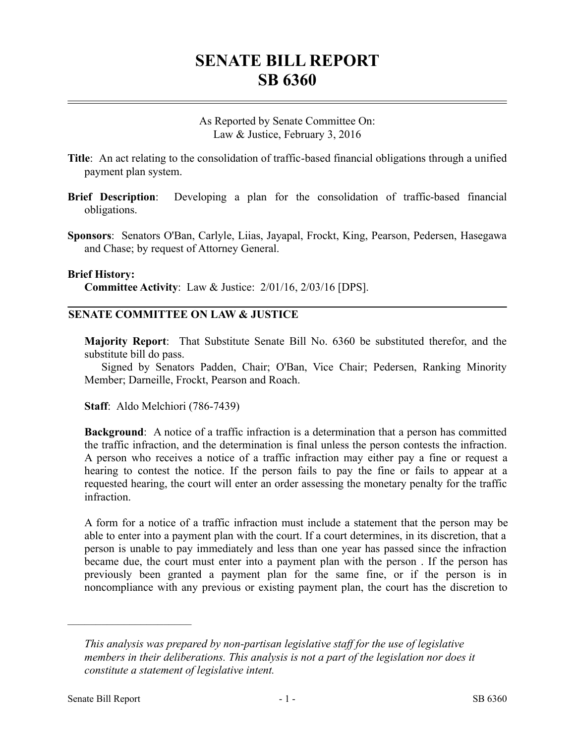## **SENATE BILL REPORT SB 6360**

As Reported by Senate Committee On: Law & Justice, February 3, 2016

- **Title**: An act relating to the consolidation of traffic-based financial obligations through a unified payment plan system.
- **Brief Description**: Developing a plan for the consolidation of traffic-based financial obligations.
- **Sponsors**: Senators O'Ban, Carlyle, Liias, Jayapal, Frockt, King, Pearson, Pedersen, Hasegawa and Chase; by request of Attorney General.

## **Brief History:**

**Committee Activity**: Law & Justice: 2/01/16, 2/03/16 [DPS].

## **SENATE COMMITTEE ON LAW & JUSTICE**

**Majority Report**: That Substitute Senate Bill No. 6360 be substituted therefor, and the substitute bill do pass.

Signed by Senators Padden, Chair; O'Ban, Vice Chair; Pedersen, Ranking Minority Member; Darneille, Frockt, Pearson and Roach.

**Staff**: Aldo Melchiori (786-7439)

**Background**: A notice of a traffic infraction is a determination that a person has committed the traffic infraction, and the determination is final unless the person contests the infraction. A person who receives a notice of a traffic infraction may either pay a fine or request a hearing to contest the notice. If the person fails to pay the fine or fails to appear at a requested hearing, the court will enter an order assessing the monetary penalty for the traffic infraction.

A form for a notice of a traffic infraction must include a statement that the person may be able to enter into a payment plan with the court. If a court determines, in its discretion, that a person is unable to pay immediately and less than one year has passed since the infraction became due, the court must enter into a payment plan with the person . If the person has previously been granted a payment plan for the same fine, or if the person is in noncompliance with any previous or existing payment plan, the court has the discretion to

––––––––––––––––––––––

*This analysis was prepared by non-partisan legislative staff for the use of legislative members in their deliberations. This analysis is not a part of the legislation nor does it constitute a statement of legislative intent.*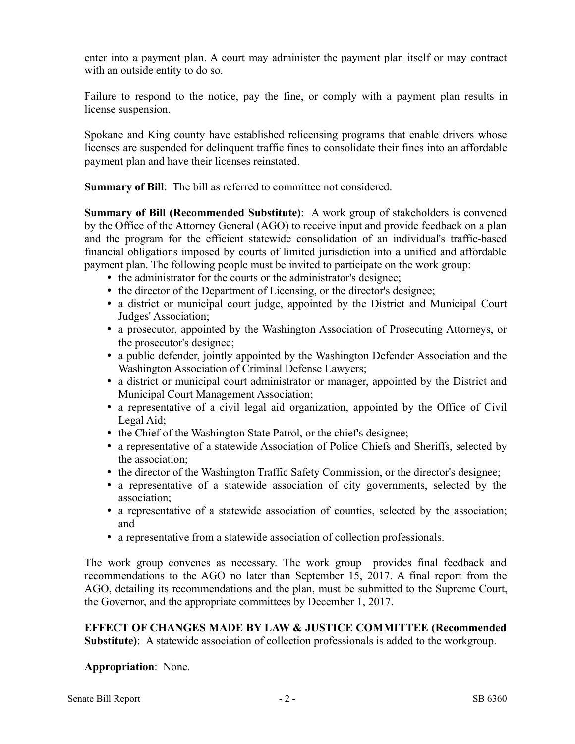enter into a payment plan. A court may administer the payment plan itself or may contract with an outside entity to do so.

Failure to respond to the notice, pay the fine, or comply with a payment plan results in license suspension.

Spokane and King county have established relicensing programs that enable drivers whose licenses are suspended for delinquent traffic fines to consolidate their fines into an affordable payment plan and have their licenses reinstated.

**Summary of Bill:** The bill as referred to committee not considered.

**Summary of Bill (Recommended Substitute)**: A work group of stakeholders is convened by the Office of the Attorney General (AGO) to receive input and provide feedback on a plan and the program for the efficient statewide consolidation of an individual's traffic-based financial obligations imposed by courts of limited jurisdiction into a unified and affordable payment plan. The following people must be invited to participate on the work group:

- the administrator for the courts or the administrator's designee;
- the director of the Department of Licensing, or the director's designee;
- a district or municipal court judge, appointed by the District and Municipal Court Judges' Association;
- a prosecutor, appointed by the Washington Association of Prosecuting Attorneys, or the prosecutor's designee;
- a public defender, jointly appointed by the Washington Defender Association and the Washington Association of Criminal Defense Lawyers;
- a district or municipal court administrator or manager, appointed by the District and Municipal Court Management Association;
- a representative of a civil legal aid organization, appointed by the Office of Civil Legal Aid;
- the Chief of the Washington State Patrol, or the chief's designee;
- a representative of a statewide Association of Police Chiefs and Sheriffs, selected by the association;
- the director of the Washington Traffic Safety Commission, or the director's designee;
- a representative of a statewide association of city governments, selected by the association;
- a representative of a statewide association of counties, selected by the association; and
- a representative from a statewide association of collection professionals.

The work group convenes as necessary. The work group provides final feedback and recommendations to the AGO no later than September 15, 2017. A final report from the AGO, detailing its recommendations and the plan, must be submitted to the Supreme Court, the Governor, and the appropriate committees by December 1, 2017.

**EFFECT OF CHANGES MADE BY LAW & JUSTICE COMMITTEE (Recommended Substitute)**: A statewide association of collection professionals is added to the workgroup.

**Appropriation**: None.